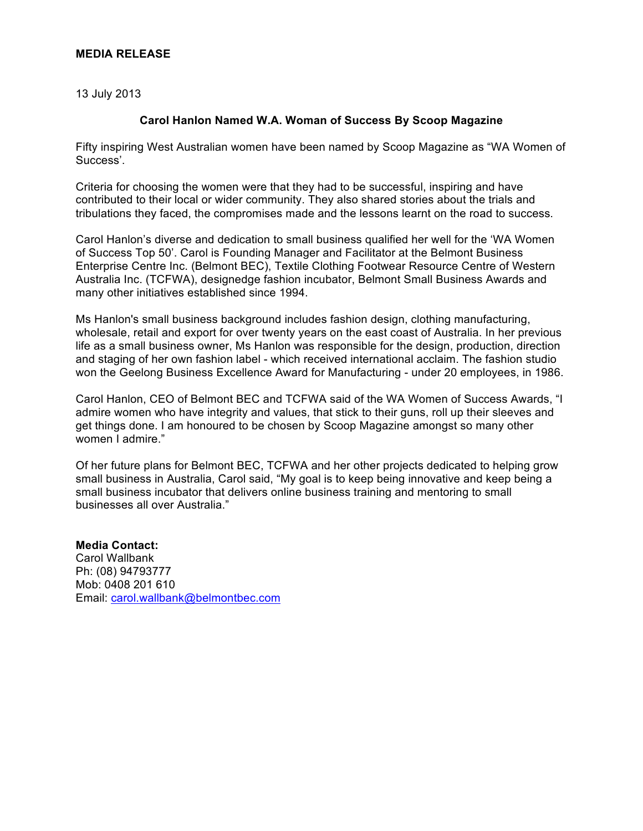# **MEDIA RELEASE**

13 July 2013

# **Carol Hanlon Named W.A. Woman of Success By Scoop Magazine**

Fifty inspiring West Australian women have been named by Scoop Magazine as "WA Women of Success'.

Criteria for choosing the women were that they had to be successful, inspiring and have contributed to their local or wider community. They also shared stories about the trials and tribulations they faced, the compromises made and the lessons learnt on the road to success.

Carol Hanlon's diverse and dedication to small business qualified her well for the 'WA Women of Success Top 50'. Carol is Founding Manager and Facilitator at the Belmont Business Enterprise Centre Inc. (Belmont BEC), Textile Clothing Footwear Resource Centre of Western Australia Inc. (TCFWA), designedge fashion incubator, Belmont Small Business Awards and many other initiatives established since 1994.

Ms Hanlon's small business background includes fashion design, clothing manufacturing, wholesale, retail and export for over twenty years on the east coast of Australia. In her previous life as a small business owner, Ms Hanlon was responsible for the design, production, direction and staging of her own fashion label - which received international acclaim. The fashion studio won the Geelong Business Excellence Award for Manufacturing - under 20 employees, in 1986.

Carol Hanlon, CEO of Belmont BEC and TCFWA said of the WA Women of Success Awards, "I admire women who have integrity and values, that stick to their guns, roll up their sleeves and get things done. I am honoured to be chosen by Scoop Magazine amongst so many other women I admire."

Of her future plans for Belmont BEC, TCFWA and her other projects dedicated to helping grow small business in Australia, Carol said, "My goal is to keep being innovative and keep being a small business incubator that delivers online business training and mentoring to small businesses all over Australia."

**Media Contact:** Carol Wallbank Ph: (08) 94793777 Mob: 0408 201 610 Email: carol.wallbank@belmontbec.com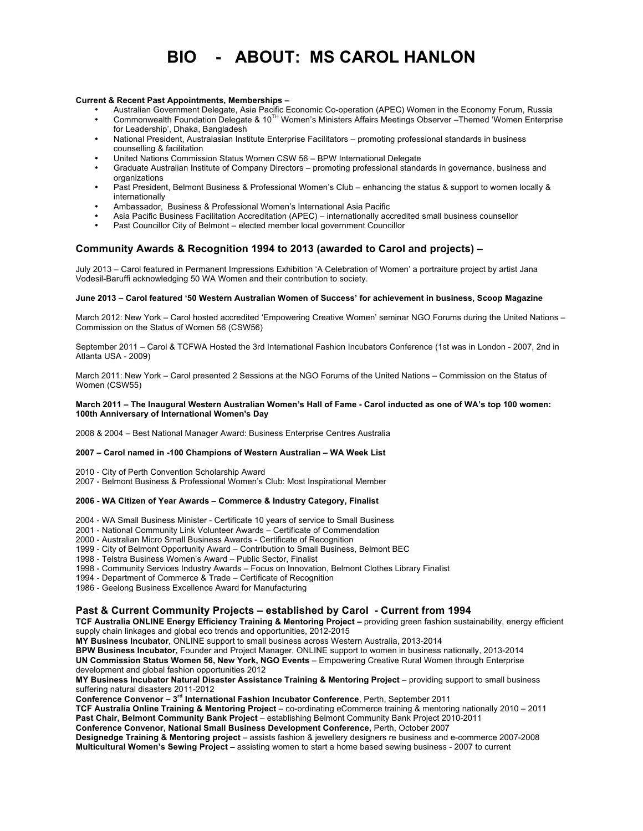# **BIO - ABOUT: MS CAROL HANLON**

#### **Current & Recent Past Appointments, Memberships –**

- Australian Government Delegate, Asia Pacific Economic Co-operation (APEC) Women in the Economy Forum, Russia • Commonwealth Foundation Delegate & 10TH Women's Ministers Affairs Meetings Observer –Themed 'Women Enterprise
- for Leadership', Dhaka, Bangladesh
- National President, Australasian Institute Enterprise Facilitators promoting professional standards in business counselling & facilitation
- United Nations Commission Status Women CSW 56 BPW International Delegate
- Graduate Australian Institute of Company Directors promoting professional standards in governance, business and organizations
- Past President, Belmont Business & Professional Women's Club enhancing the status & support to women locally & internationally
- Ambassador, Business & Professional Women's International Asia Pacific
- Asia Pacific Business Facilitation Accreditation (APEC) internationally accredited small business counsellor
- Past Councillor City of Belmont elected member local government Councillor

## **Community Awards & Recognition 1994 to 2013 (awarded to Carol and projects) –**

July 2013 – Carol featured in Permanent Impressions Exhibition 'A Celebration of Women' a portraiture project by artist Jana Vodesil-Baruffi acknowledging 50 WA Women and their contribution to society.

#### **June 2013 – Carol featured '50 Western Australian Women of Success' for achievement in business, Scoop Magazine**

March 2012: New York – Carol hosted accredited 'Empowering Creative Women' seminar NGO Forums during the United Nations – Commission on the Status of Women 56 (CSW56)

September 2011 – Carol & TCFWA Hosted the 3rd International Fashion Incubators Conference (1st was in London - 2007, 2nd in Atlanta USA - 2009)

March 2011: New York – Carol presented 2 Sessions at the NGO Forums of the United Nations – Commission on the Status of Women (CSW55)

#### **March 2011 – The Inaugural Western Australian Women's Hall of Fame - Carol inducted as one of WA's top 100 women: 100th Anniversary of International Women's Day**

2008 & 2004 – Best National Manager Award: Business Enterprise Centres Australia

#### **2007 – Carol named in -100 Champions of Western Australian – WA Week List**

- 2010 City of Perth Convention Scholarship Award
- 2007 Belmont Business & Professional Women's Club: Most Inspirational Member

#### **2006 - WA Citizen of Year Awards – Commerce & Industry Category, Finalist**

- 2004 WA Small Business Minister Certificate 10 years of service to Small Business
- 2001 National Community Link Volunteer Awards Certificate of Commendation
- 2000 Australian Micro Small Business Awards Certificate of Recognition
- 1999 City of Belmont Opportunity Award Contribution to Small Business, Belmont BEC
- 1998 Telstra Business Women's Award Public Sector, Finalist
- 1998 Community Services Industry Awards Focus on Innovation, Belmont Clothes Library Finalist
- 1994 Department of Commerce & Trade Certificate of Recognition
- 1986 Geelong Business Excellence Award for Manufacturing

### **Past & Current Community Projects – established by Carol - Current from 1994**

**TCF Australia ONLINE Energy Efficiency Training & Mentoring Project –** providing green fashion sustainability, energy efficient supply chain linkages and global eco trends and opportunities, 2012-2015

**MY Business Incubator**, ONLINE support to small business across Western Australia, 2013-2014

**BPW Business Incubator,** Founder and Project Manager, ONLINE support to women in business nationally, 2013-2014 **UN Commission Status Women 56, New York, NGO Events** – Empowering Creative Rural Women through Enterprise development and global fashion opportunities 2012

**MY Business Incubator Natural Disaster Assistance Training & Mentoring Project** – providing support to small business suffering natural disasters 2011-2012

**Conference Convenor – 3rd International Fashion Incubator Conference**, Perth, September 2011

**TCF Australia Online Training & Mentoring Project** – co-ordinating eCommerce training & mentoring nationally 2010 – 2011 **Past Chair, Belmont Community Bank Project** – establishing Belmont Community Bank Project 2010-2011

**Conference Convenor, National Small Business Development Conference,** Perth, October 2007

**Designedge Training & Mentoring project** – assists fashion & jewellery designers re business and e-commerce 2007-2008 **Multicultural Women's Sewing Project –** assisting women to start a home based sewing business - 2007 to current